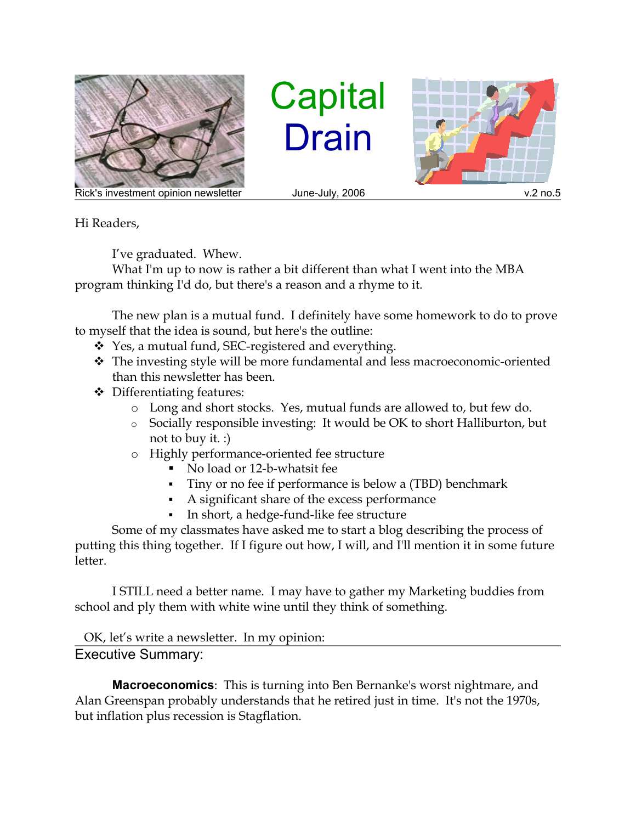

**Capital** Drain



Rick's investment opinion newsletter and June-July, 2006 and the state of the v.2 no.5

Hi Readers,

I've graduated. Whew.

What I'm up to now is rather a bit different than what I went into the MBA program thinking I'd do, but there's a reason and a rhyme to it.

The new plan is a mutual fund. I definitely have some homework to do to prove to myself that the idea is sound, but here's the outline:

- Yes, a mutual fund, SEC-registered and everything.
- The investing style will be more fundamental and less macroeconomic-oriented than this newsletter has been.
- Differentiating features:
	- o Long and short stocks. Yes, mutual funds are allowed to, but few do.
	- o Socially responsible investing: It would be OK to short Halliburton, but not to buy it. :)
	- o Highly performance-oriented fee structure
		- No load or 12-b-whatsit fee
		- Tiny or no fee if performance is below a (TBD) benchmark
		- A significant share of the excess performance
		- In short, a hedge-fund-like fee structure

Some of my classmates have asked me to start a blog describing the process of putting this thing together. If I figure out how, I will, and I'll mention it in some future letter.

I STILL need a better name. I may have to gather my Marketing buddies from school and ply them with white wine until they think of something.

OK, let's write a newsletter. In my opinion: Executive Summary:

**Macroeconomics**: This is turning into Ben Bernanke's worst nightmare, and Alan Greenspan probably understands that he retired just in time. It's not the 1970s, but inflation plus recession is Stagflation.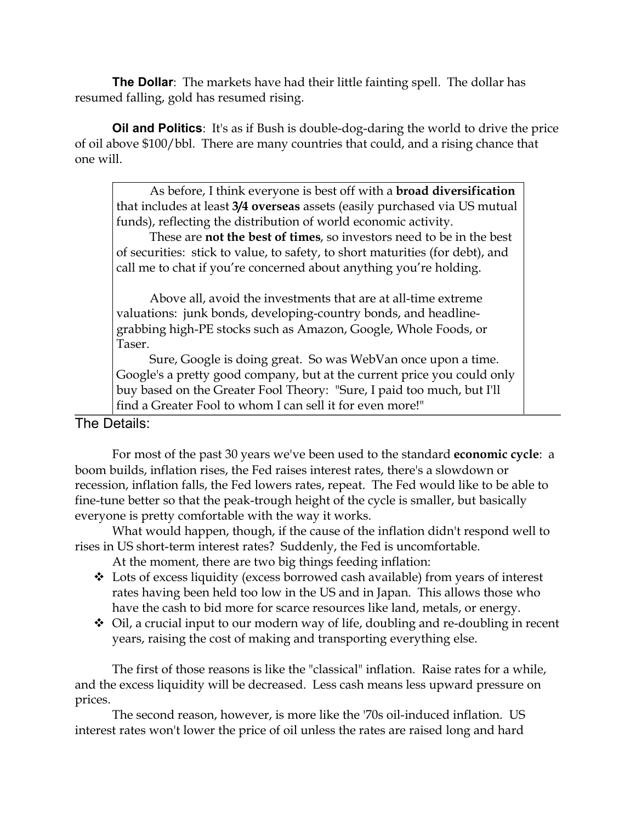**The Dollar**: The markets have had their little fainting spell. The dollar has resumed falling, gold has resumed rising.

**Oil and Politics**: It's as if Bush is double-dog-daring the world to drive the price of oil above \$100/bbl. There are many countries that could, and a rising chance that one will.

As before, I think everyone is best off with a **broad diversification** that includes at least **3/4 overseas** assets (easily purchased via US mutual funds), reflecting the distribution of world economic activity.

These are **not the best of times**, so investors need to be in the best of securities: stick to value, to safety, to short maturities (for debt), and call me to chat if you're concerned about anything you're holding.

Above all, avoid the investments that are at all-time extreme valuations: junk bonds, developing-country bonds, and headlinegrabbing high-PE stocks such as Amazon, Google, Whole Foods, or Taser.

Sure, Google is doing great. So was WebVan once upon a time. Google's a pretty good company, but at the current price you could only buy based on the Greater Fool Theory: "Sure, I paid too much, but I'll find a Greater Fool to whom I can sell it for even more!"

The Details:

For most of the past 30 years we've been used to the standard **economic cycle**: a boom builds, inflation rises, the Fed raises interest rates, there's a slowdown or recession, inflation falls, the Fed lowers rates, repeat. The Fed would like to be able to fine-tune better so that the peak-trough height of the cycle is smaller, but basically everyone is pretty comfortable with the way it works.

What would happen, though, if the cause of the inflation didn't respond well to rises in US short-term interest rates? Suddenly, the Fed is uncomfortable.

At the moment, there are two big things feeding inflation:

- Lots of excess liquidity (excess borrowed cash available) from years of interest rates having been held too low in the US and in Japan. This allows those who have the cash to bid more for scarce resources like land, metals, or energy.
- Oil, a crucial input to our modern way of life, doubling and re-doubling in recent years, raising the cost of making and transporting everything else.

The first of those reasons is like the "classical" inflation. Raise rates for a while, and the excess liquidity will be decreased. Less cash means less upward pressure on prices.

The second reason, however, is more like the '70s oil-induced inflation. US interest rates won't lower the price of oil unless the rates are raised long and hard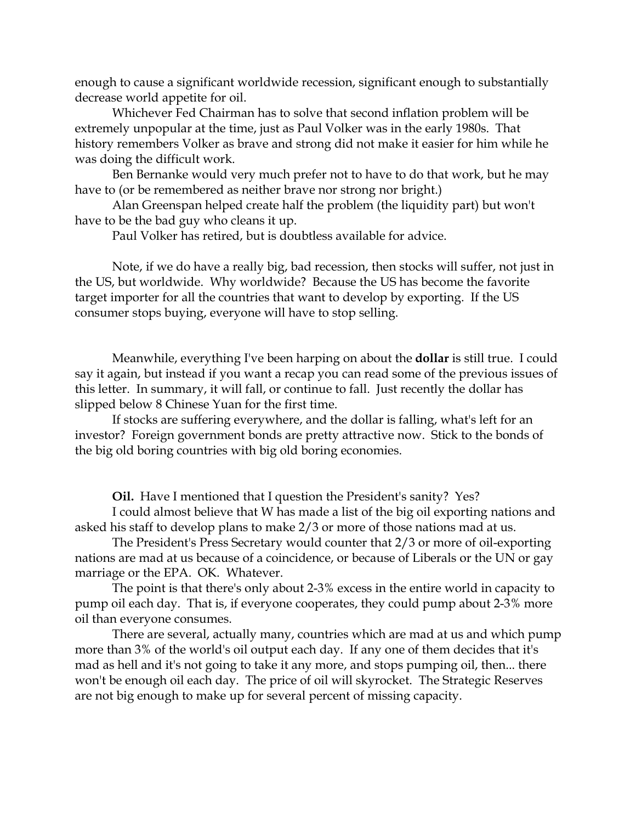enough to cause a significant worldwide recession, significant enough to substantially decrease world appetite for oil.

Whichever Fed Chairman has to solve that second inflation problem will be extremely unpopular at the time, just as Paul Volker was in the early 1980s. That history remembers Volker as brave and strong did not make it easier for him while he was doing the difficult work.

Ben Bernanke would very much prefer not to have to do that work, but he may have to (or be remembered as neither brave nor strong nor bright.)

Alan Greenspan helped create half the problem (the liquidity part) but won't have to be the bad guy who cleans it up.

Paul Volker has retired, but is doubtless available for advice.

Note, if we do have a really big, bad recession, then stocks will suffer, not just in the US, but worldwide. Why worldwide? Because the US has become the favorite target importer for all the countries that want to develop by exporting. If the US consumer stops buying, everyone will have to stop selling.

Meanwhile, everything I've been harping on about the **dollar** is still true. I could say it again, but instead if you want a recap you can read some of the previous issues of this letter. In summary, it will fall, or continue to fall. Just recently the dollar has slipped below 8 Chinese Yuan for the first time.

If stocks are suffering everywhere, and the dollar is falling, what's left for an investor? Foreign government bonds are pretty attractive now. Stick to the bonds of the big old boring countries with big old boring economies.

**Oil.** Have I mentioned that I question the President's sanity? Yes?

I could almost believe that W has made a list of the big oil exporting nations and asked his staff to develop plans to make 2/3 or more of those nations mad at us.

The President's Press Secretary would counter that 2/3 or more of oil-exporting nations are mad at us because of a coincidence, or because of Liberals or the UN or gay marriage or the EPA. OK. Whatever.

The point is that there's only about 2-3% excess in the entire world in capacity to pump oil each day. That is, if everyone cooperates, they could pump about 2-3% more oil than everyone consumes.

There are several, actually many, countries which are mad at us and which pump more than 3% of the world's oil output each day. If any one of them decides that it's mad as hell and it's not going to take it any more, and stops pumping oil, then... there won't be enough oil each day. The price of oil will skyrocket. The Strategic Reserves are not big enough to make up for several percent of missing capacity.